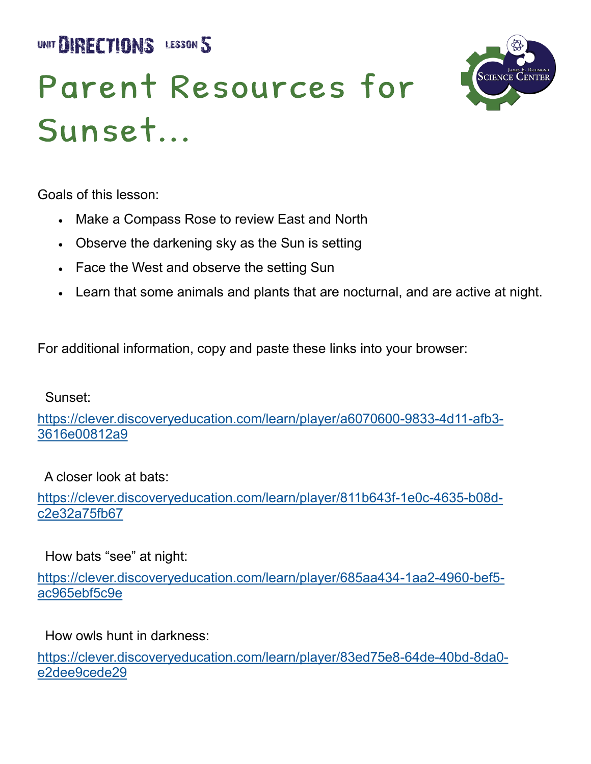UNIT **BIRECTIONS** LESSON 5

# Parent Resources for Sunset...



Goals of this lesson:

- Make a Compass Rose to review East and North
- Observe the darkening sky as the Sun is setting
- Face the West and observe the setting Sun
- Learn that some animals and plants that are nocturnal, and are active at night.

For additional information, copy and paste these links into your browser:

Sunset:

[https://clever.discoveryeducation.com/learn/player/a6070600](https://clever.discoveryeducation.com/learn/player/a6070600-9833-4d11-afb3-3616e00812a9)-9833-4d11-afb3- [3616e00812a9](https://clever.discoveryeducation.com/learn/player/a6070600-9833-4d11-afb3-3616e00812a9)

A closer look at bats:

[https://clever.discoveryeducation.com/learn/player/811b643f](https://clever.discoveryeducation.com/learn/player/811b643f-1e0c-4635-b08d-c2e32a75fb67)-1e0c-4635-b08d[c2e32a75fb67](https://clever.discoveryeducation.com/learn/player/811b643f-1e0c-4635-b08d-c2e32a75fb67) 

How bats "see" at night:

[https://clever.discoveryeducation.com/learn/player/685aa434](https://clever.discoveryeducation.com/learn/player/685aa434-1aa2-4960-bef5-ac965ebf5c9e)-1aa2-4960-bef5 [ac965ebf5c9e](https://clever.discoveryeducation.com/learn/player/685aa434-1aa2-4960-bef5-ac965ebf5c9e) 

How owls hunt in darkness:

[https://clever.discoveryeducation.com/learn/player/83ed75e8](https://clever.discoveryeducation.com/learn/player/83ed75e8-64de-40bd-8da0-e2dee9cede29)-64de-40bd-8da0 [e2dee9cede29](https://clever.discoveryeducation.com/learn/player/83ed75e8-64de-40bd-8da0-e2dee9cede29)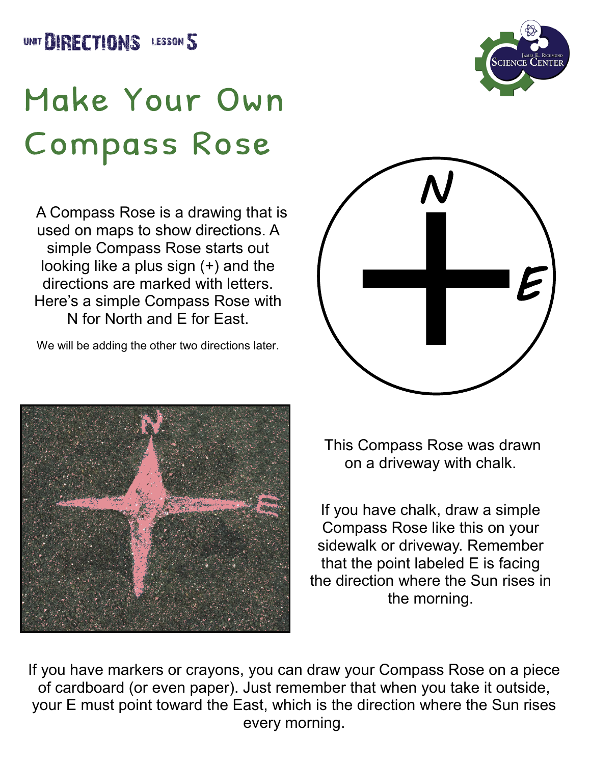



## Make Your Own **Compass Rose**

 A Compass Rose is a drawing that is used on maps to show directions. A simple Compass Rose starts out looking like a plus sign (+) and the directions are marked with letters. Here's a simple Compass Rose with N for North and E for East.

We will be adding the other two directions later.





This Compass Rose was drawn on a driveway with chalk.

If you have chalk, draw a simple Compass Rose like this on your sidewalk or driveway. Remember that the point labeled E is facing the direction where the Sun rises in the morning.

If you have markers or crayons, you can draw your Compass Rose on a piece of cardboard (or even paper). Just remember that when you take it outside, your E must point toward the East, which is the direction where the Sun rises every morning.